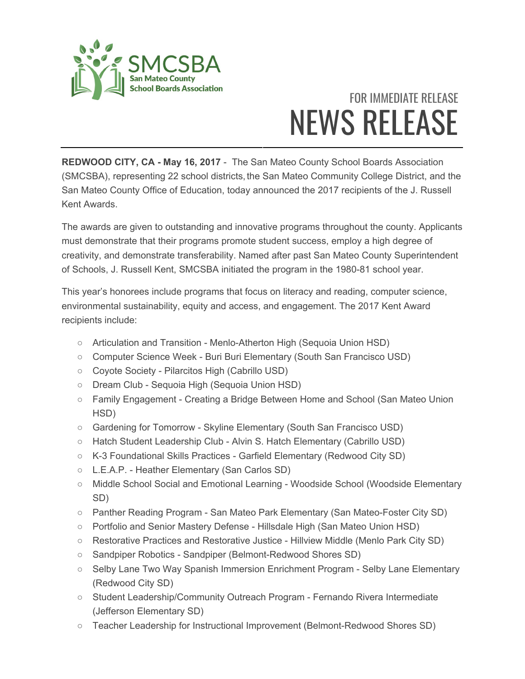

## FOR IMMEDIATE RELEASE NEWS RELEASE

**REDWOOD CITY, CA - May 16, 2017** - The San Mateo County School Boards Association (SMCSBA), representing 22 school districts, the San Mateo Community College District, and the San Mateo County Office of Education, today announced the 2017 recipients of the J. Russell Kent Awards.

The awards are given to outstanding and innovative programs throughout the county. Applicants must demonstrate that their programs promote student success, employ a high degree of creativity, and demonstrate transferability. Named after past San Mateo County Superintendent of Schools, J. Russell Kent, SMCSBA initiated the program in the 1980-81 school year.

This year's honorees include programs that focus on literacy and reading, computer science, environmental sustainability, equity and access, and engagement. The 2017 Kent Award recipients include:

- Articulation and Transition Menlo-Atherton High (Sequoia Union HSD)
- Computer Science Week Buri Buri Elementary (South San Francisco USD)
- Coyote Society Pilarcitos High (Cabrillo USD)
- Dream Club Sequoia High (Sequoia Union HSD)
- Family Engagement Creating a Bridge Between Home and School (San Mateo Union HSD)
- Gardening for Tomorrow Skyline Elementary (South San Francisco USD)
- Hatch Student Leadership Club Alvin S. Hatch Elementary (Cabrillo USD)
- K-3 Foundational Skills Practices Garfield Elementary (Redwood City SD)
- L.E.A.P. Heather Elementary (San Carlos SD)
- Middle School Social and Emotional Learning Woodside School (Woodside Elementary SD)
- Panther Reading Program San Mateo Park Elementary (San Mateo-Foster City SD)
- Portfolio and Senior Mastery Defense Hillsdale High (San Mateo Union HSD)
- Restorative Practices and Restorative Justice Hillview Middle (Menlo Park City SD)
- Sandpiper Robotics Sandpiper (Belmont-Redwood Shores SD)
- Selby Lane Two Way Spanish Immersion Enrichment Program Selby Lane Elementary (Redwood City SD)
- Student Leadership/Community Outreach Program Fernando Rivera Intermediate (Jefferson Elementary SD)
- Teacher Leadership for Instructional Improvement (Belmont-Redwood Shores SD)